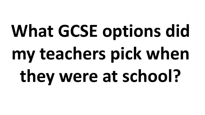# **What GCSE options did my teachers pick when they were at school?**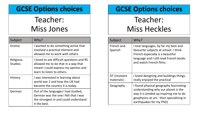## Teacher: Miss Jones

| Subject               | Why?                                                                                                                                                   |
|-----------------------|--------------------------------------------------------------------------------------------------------------------------------------------------------|
| Drama:                | I wanted to do something active that<br>involved a practical element and<br>allowed me to work with others.                                            |
| Religious<br>Studies: | I loved to ask difficult questions and RS<br>allowed me to do that in a way that<br>meant I could express my opinion and<br>learn to listen to others. |
| History:              | I was interested in learning about<br>world war 2 and how the UK had<br>become the country it is today.                                                |
| German:               | Out of the languages I had studied,<br>German was the one I felt that I was<br>the strongest in and could understand<br>it the best.                   |

#### **GCSE Options choices**

# Teacher: Miss Heckles

| Subject                       | Why?                                                                                                                                                                                             |
|-------------------------------|--------------------------------------------------------------------------------------------------------------------------------------------------------------------------------------------------|
| French and<br>Spanish         | I love languages, by far my best and<br>favourite subjects at school. I think<br>French especially is a beautiful<br>language and I still read French books<br>and watch French films.           |
| DT (resistant<br>materials) - | I loved designing and buildings things,<br>really enjoyed the practical                                                                                                                          |
| Geography -                   | I found physical geography fascinating -<br>understanding why our planet is the<br>way it is (ended up inspiring me to do<br>geophysics at uni - then specialising in<br>earthquakes for my PhD) |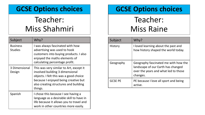## Teacher: Miss Shahmiri

| Subject                           | Why?                                                                                                                                                                                                             |
|-----------------------------------|------------------------------------------------------------------------------------------------------------------------------------------------------------------------------------------------------------------|
| <b>Business</b><br><b>Studies</b> | I was always fascinated with how<br>advertising was used to hook<br>customers into buying products. I also<br>enjoyed the maths elements of<br>calculating percentage profit.                                    |
| 3 Dimensional<br>Design           | This was very similar to Art, except it<br>involved building 3 dimensional<br>objects. I felt this was a good choice<br>because I enjoyed being creative but<br>also creating structures and building<br>things. |
| Spanish                           | I chose this because I see having a<br>language as a desirable skill to have in<br>life because it allows you to travel and<br>work in other countries more easily.                                              |

#### **GCSE Options choices**

Teacher: Miss Raine

| Subject        | Why?                                                                                                                           |
|----------------|--------------------------------------------------------------------------------------------------------------------------------|
| History        | I loved learning about the past and<br>how history shaped the world today.                                                     |
| Geography      | Geography fascinated me with how the<br>landscape of our Earth has changed<br>over the years and what led to those<br>changes. |
| <b>GCSE PE</b> | PE because I love all sport and being<br>active.                                                                               |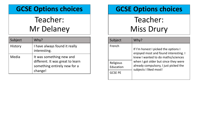## Teacher: Mr Delaney

| Subject        | Why?                                                                                                    |
|----------------|---------------------------------------------------------------------------------------------------------|
| <b>History</b> | I have always found it really<br>interesting.                                                           |
| Media          | It was something new and<br>different. It was great to learn<br>something entirely new for a<br>change! |

### **GCSE Options choices**

Teacher: Miss Drury

| Subject                | Why?                                                                                                                |
|------------------------|---------------------------------------------------------------------------------------------------------------------|
| French                 | If I'm honest I picked the options I<br>enjoyed most and found interesting. I<br>knew I wanted to do maths/sciences |
| Religious<br>Education | when I got older but since they were<br>already compulsory, I just picked the<br>subjects I liked most!             |
| <b>GCSE PE</b>         |                                                                                                                     |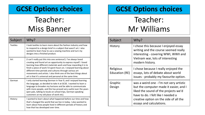## Teacher: Miss Banner

| Subject         | Why?                                                                                                                                                                                                                                                                                                                                                                                                                                                                       |
|-----------------|----------------------------------------------------------------------------------------------------------------------------------------------------------------------------------------------------------------------------------------------------------------------------------------------------------------------------------------------------------------------------------------------------------------------------------------------------------------------------|
| <b>Textiles</b> | I took textiles to learn more about the fashion industry and how<br>to respond to a design brief in a subject that wasn't art. I also<br>wanted to learn how to use a sewing machine and turn my<br>designs into a finished product.                                                                                                                                                                                                                                       |
| Art             | (I can't really put this into one sentence!). I've always loved<br>creating and found art an opportunity to express myself. I loved<br>learning how different materials work and how rewarding it is to<br>finish a piece of work I'd spent hours on. I enjoyed learning about<br>different time periods and cultures through various art<br>movements and artists. I also think one of the best things about<br>art is that it's universal and personal at the same time. |
| German          | I only started learning German in Year 9, and I enjoyed learning<br>the language, so decided to take it at GCSE. I wanted to learn a<br>language to broaden my horizons and be able to communicate<br>with more people, and this has proved very useful over the years<br>(pen pals, talking to locals on school trips, German-speaking<br>customers at my old place of work etc).                                                                                         |
| History:        | I wanted to learn about what happened before our time and how<br>that's changed the world that we live in today. I also wanted to<br>learn about how people lived in different periods of history and<br>how that has developed over time.                                                                                                                                                                                                                                 |

#### **GCSE Options choices**

# Teacher: Mr Williams

| Subject                            | Why?                                                                                                                                                                                                                                  |
|------------------------------------|---------------------------------------------------------------------------------------------------------------------------------------------------------------------------------------------------------------------------------------|
| History                            | I chose this because I enjoyed essay<br>writing and the course seemed really<br>interesting - covering WWI, WWII and<br>Vietnam war, lots of interesting<br>modern history.                                                           |
| Religious<br><b>Education (RE)</b> | I chose because I really enjoyed the<br>essays, lots of debate about world<br>issues - probably my favourite option.                                                                                                                  |
| Graphic<br>Design                  | was a weird one - I'm not very artistic<br>but the computer made it easier, and I<br>liked the sound of the projects we'd<br>have to do. I felt like I needed a<br>creative option on the side of all the<br>essays and calculations. |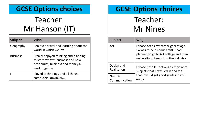# Teacher: Mr Hanson (IT)

| Subject         | Why?                                                                                                                              |
|-----------------|-----------------------------------------------------------------------------------------------------------------------------------|
| Geography       | I enjoyed travel and learning about the<br>world in which we live                                                                 |
| <b>Business</b> | I really enjoyed thinking and planning<br>to start my own business and how<br>economics, business and money all<br>work together. |
|                 | I loved technology and all things<br>computers, obviously                                                                         |

## **GCSE Options choices**

# Teacher: Mr Nines

| Subject       | Why?                                                                                                                                                          |
|---------------|---------------------------------------------------------------------------------------------------------------------------------------------------------------|
| Art           | I chose Art as my career goal at age<br>14 was to be a comic artist. I had<br>planned to go to Art college and then<br>university to break into the industry. |
| Design and    | I chose both DT options as they were                                                                                                                          |
| Realisation   | subjects that I excelled in and felt                                                                                                                          |
| Graphic       | that I would get good grades in and                                                                                                                           |
| Communication | enjoy.                                                                                                                                                        |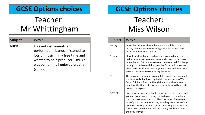# Teacher: Mr Whittingham

| Subject      | Why?                                                                                                                                                                                    |
|--------------|-----------------------------------------------------------------------------------------------------------------------------------------------------------------------------------------|
| <b>Music</b> | I played instruments and<br>performed in bands. I listened to<br>lots of music in my free time and<br>wanted to be a producer - music<br>was something I enjoyed greatly<br>(still do)! |

### **GCSE Options choices**

# Teacher: Miss Wilson

| Subject        | Why?                                                                                                                                                                                                                                                                                                                                                                                                        |
|----------------|-------------------------------------------------------------------------------------------------------------------------------------------------------------------------------------------------------------------------------------------------------------------------------------------------------------------------------------------------------------------------------------------------------------|
| History        | I took this because I knew there was a module on the<br>history of medicine which I thought was fascinating and<br>linked into my love of biology                                                                                                                                                                                                                                                           |
| French         | I loved speaking French and we used to go to France on<br>holiday every year to see my cousin who had moved there<br>when she was 20. It was so nice to be able to ask for things<br>in shops or understand things on the TV or radio when we<br>were there. I still love speaking French now and have done<br>several courses since completing the GCSE.                                                   |
| ΙT             | This was a useful course to complete because we learnt all<br>the basic skills that I use regularly in my job, such as Word,<br>PowerPoint and Excel. Although technology has advanced<br>lots since the time I did my exams these basic skills are still<br>useful to everyone.                                                                                                                            |
| <b>GCSE PE</b> | I was good at sport at school, e.g. on lots of the teams, so it<br>seemed like a natural choice, but in the end it turned out<br>that the theory was the part I liked the most. There were<br>lots of parts that interested me, including the history of the<br>Olympics, looking at campaigns to improve participation in<br>sports across the nation, and the biology involved in how<br>the body worked. |